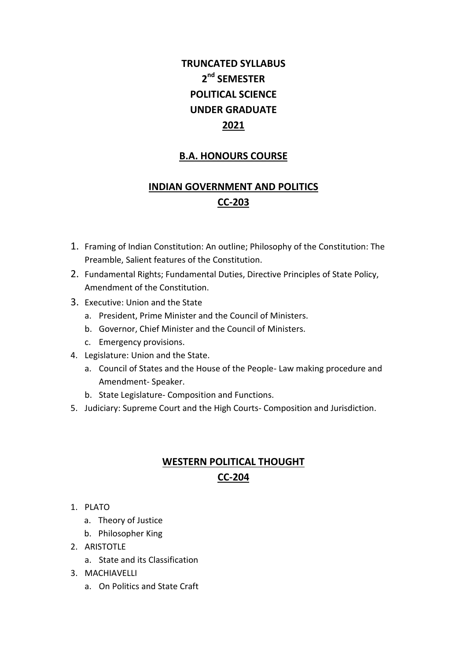# **TRUNCATED SYLLABUS 2 nd SEMESTER POLITICAL SCIENCE UNDER GRADUATE 2021**

#### **B.A. HONOURS COURSE**

### **INDIAN GOVERNMENT AND POLITICS CC-203**

- 1. Framing of Indian Constitution: An outline; Philosophy of the Constitution: The Preamble, Salient features of the Constitution.
- 2. Fundamental Rights; Fundamental Duties, Directive Principles of State Policy, Amendment of the Constitution.
- 3. Executive: Union and the State
	- a. President, Prime Minister and the Council of Ministers.
	- b. Governor, Chief Minister and the Council of Ministers.
	- c. Emergency provisions.
- 4. Legislature: Union and the State.
	- a. Council of States and the House of the People- Law making procedure and Amendment- Speaker.
	- b. State Legislature- Composition and Functions.
- 5. Judiciary: Supreme Court and the High Courts- Composition and Jurisdiction.

#### **WESTERN POLITICAL THOUGHT CC-204**

- 1. PLATO
	- a. Theory of Justice
	- b. Philosopher King
- 2. ARISTOTLE
	- a. State and its Classification
- 3. MACHIAVELLI
	- a. On Politics and State Craft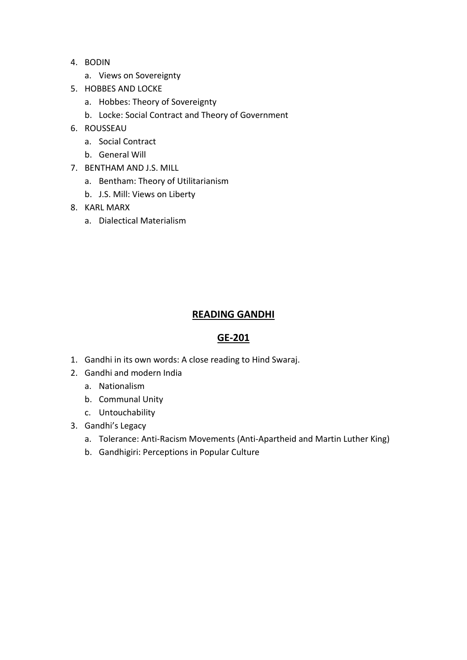- 4. BODIN
	- a. Views on Sovereignty
- 5. HOBBES AND LOCKE
	- a. Hobbes: Theory of Sovereignty
	- b. Locke: Social Contract and Theory of Government
- 6. ROUSSEAU
	- a. Social Contract
	- b. General Will
- 7. BENTHAM AND J.S. MILL
	- a. Bentham: Theory of Utilitarianism
	- b. J.S. Mill: Views on Liberty
- 8. KARL MARX
	- a. Dialectical Materialism

#### **READING GANDHI**

#### **GE-201**

- 1. Gandhi in its own words: A close reading to Hind Swaraj.
- 2. Gandhi and modern India
	- a. Nationalism
	- b. Communal Unity
	- c. Untouchability
- 3. Gandhi's Legacy
	- a. Tolerance: Anti-Racism Movements (Anti-Apartheid and Martin Luther King)
	- b. Gandhigiri: Perceptions in Popular Culture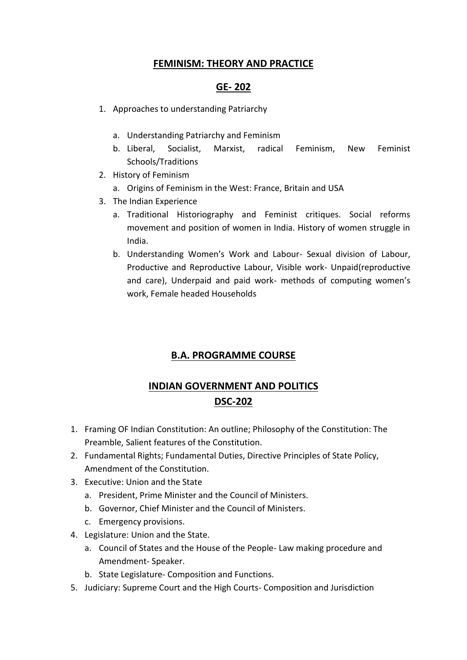#### **FEMINISM: THEORY AND PRACTICE**

#### **GE- 202**

- 1. Approaches to understanding Patriarchy
	- a. Understanding Patriarchy and Feminism
	- b. Liberal, Socialist, Marxist, radical Feminism, New Feminist Schools/Traditions
- 2. History of Feminism
	- a. Origins of Feminism in the West: France, Britain and USA
- 3. The Indian Experience
	- a. Traditional Historiography and Feminist critiques. Social reforms movement and position of women in India. History of women struggle in India.
	- b. Understanding Women's Work and Labour- Sexual division of Labour, Productive and Reproductive Labour, Visible work- Unpaid(reproductive and care), Underpaid and paid work- methods of computing women's work, Female headed Households

#### **B.A. PROGRAMME COURSE**

### **INDIAN GOVERNMENT AND POLITICS DSC-202**

- 1. Framing OF Indian Constitution: An outline; Philosophy of the Constitution: The Preamble, Salient features of the Constitution.
- 2. Fundamental Rights; Fundamental Duties, Directive Principles of State Policy, Amendment of the Constitution.
- 3. Executive: Union and the State
	- a. President, Prime Minister and the Council of Ministers.
	- b. Governor, Chief Minister and the Council of Ministers.
	- c. Emergency provisions.
- 4. Legislature: Union and the State.
	- a. Council of States and the House of the People- Law making procedure and Amendment- Speaker.
	- b. State Legislature- Composition and Functions.
- 5. Judiciary: Supreme Court and the High Courts- Composition and Jurisdiction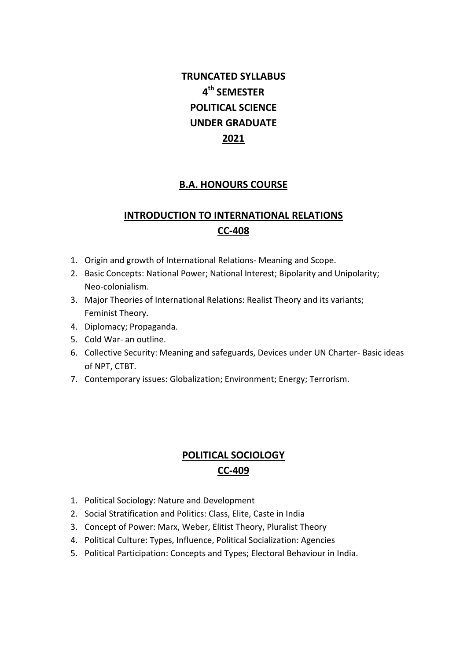# **TRUNCATED SYLLABUS 4 th SEMESTER POLITICAL SCIENCE UNDER GRADUATE 2021**

#### **B.A. HONOURS COURSE**

## **INTRODUCTION TO INTERNATIONAL RELATIONS CC-408**

- 1. Origin and growth of International Relations- Meaning and Scope.
- 2. Basic Concepts: National Power; National Interest; Bipolarity and Unipolarity; Neo-colonialism.
- 3. Major Theories of International Relations: Realist Theory and its variants; Feminist Theory.
- 4. Diplomacy; Propaganda.
- 5. Cold War- an outline.
- 6. Collective Security: Meaning and safeguards, Devices under UN Charter- Basic ideas of NPT, CTBT.
- 7. Contemporary issues: Globalization; Environment; Energy; Terrorism.

#### **POLITICAL SOCIOLOGY CC-409**

- 1. Political Sociology: Nature and Development
- 2. Social Stratification and Politics: Class, Elite, Caste in India
- 3. Concept of Power: Marx, Weber, Elitist Theory, Pluralist Theory
- 4. Political Culture: Types, Influence, Political Socialization: Agencies
- 5. Political Participation: Concepts and Types; Electoral Behaviour in India.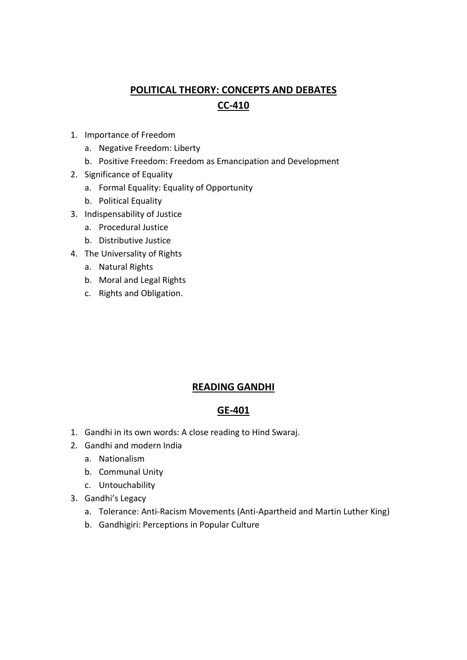## **POLITICAL THEORY: CONCEPTS AND DEBATES CC-410**

- 1. Importance of Freedom
	- a. Negative Freedom: Liberty
	- b. Positive Freedom: Freedom as Emancipation and Development
- 2. Significance of Equality
	- a. Formal Equality: Equality of Opportunity
	- b. Political Equality
- 3. Indispensability of Justice
	- a. Procedural Justice
	- b. Distributive Justice
- 4. The Universality of Rights
	- a. Natural Rights
	- b. Moral and Legal Rights
	- c. Rights and Obligation.

#### **READING GANDHI**

#### **GE-401**

- 1. Gandhi in its own words: A close reading to Hind Swaraj.
- 2. Gandhi and modern India
	- a. Nationalism
	- b. Communal Unity
	- c. Untouchability
- 3. Gandhi's Legacy
	- a. Tolerance: Anti-Racism Movements (Anti-Apartheid and Martin Luther King)
	- b. Gandhigiri: Perceptions in Popular Culture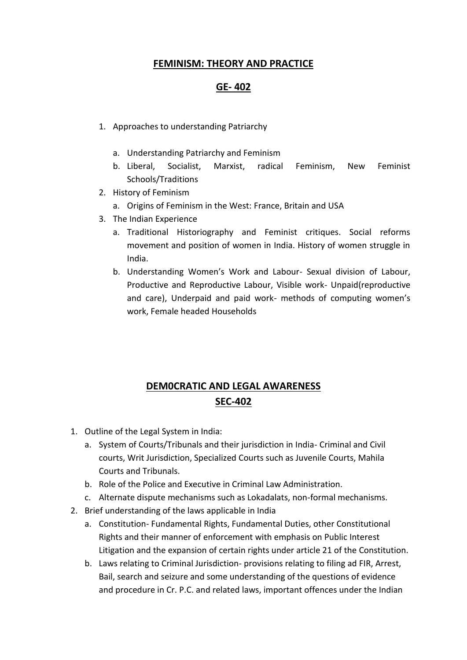#### **FEMINISM: THEORY AND PRACTICE**

#### **GE- 402**

- 1. Approaches to understanding Patriarchy
	- a. Understanding Patriarchy and Feminism
	- b. Liberal, Socialist, Marxist, radical Feminism, New Feminist Schools/Traditions
- 2. History of Feminism
	- a. Origins of Feminism in the West: France, Britain and USA
- 3. The Indian Experience
	- a. Traditional Historiography and Feminist critiques. Social reforms movement and position of women in India. History of women struggle in India.
	- b. Understanding Women's Work and Labour- Sexual division of Labour, Productive and Reproductive Labour, Visible work- Unpaid(reproductive and care), Underpaid and paid work- methods of computing women's work, Female headed Households

### **DEM0CRATIC AND LEGAL AWARENESS SEC-402**

- 1. Outline of the Legal System in India:
	- a. System of Courts/Tribunals and their jurisdiction in India- Criminal and Civil courts, Writ Jurisdiction, Specialized Courts such as Juvenile Courts, Mahila Courts and Tribunals.
	- b. Role of the Police and Executive in Criminal Law Administration.
	- c. Alternate dispute mechanisms such as Lokadalats, non-formal mechanisms.
- 2. Brief understanding of the laws applicable in India
	- a. Constitution- Fundamental Rights, Fundamental Duties, other Constitutional Rights and their manner of enforcement with emphasis on Public Interest Litigation and the expansion of certain rights under article 21 of the Constitution.
	- b. Laws relating to Criminal Jurisdiction- provisions relating to filing ad FIR, Arrest, Bail, search and seizure and some understanding of the questions of evidence and procedure in Cr. P.C. and related laws, important offences under the Indian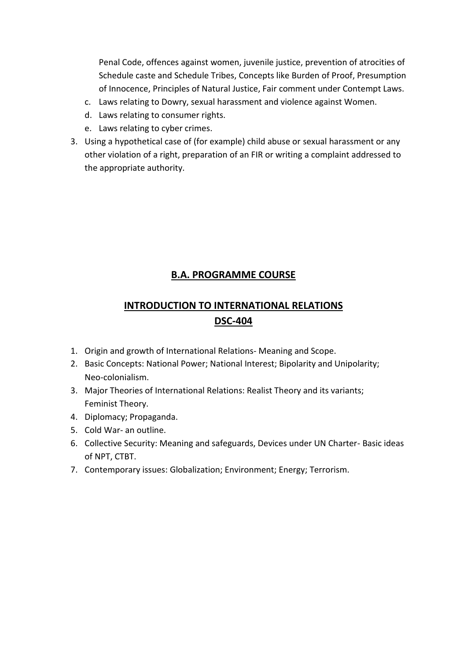Penal Code, offences against women, juvenile justice, prevention of atrocities of Schedule caste and Schedule Tribes, Concepts like Burden of Proof, Presumption of Innocence, Principles of Natural Justice, Fair comment under Contempt Laws.

- c. Laws relating to Dowry, sexual harassment and violence against Women.
- d. Laws relating to consumer rights.
- e. Laws relating to cyber crimes.
- 3. Using a hypothetical case of (for example) child abuse or sexual harassment or any other violation of a right, preparation of an FIR or writing a complaint addressed to the appropriate authority.

#### **B.A. PROGRAMME COURSE**

## **INTRODUCTION TO INTERNATIONAL RELATIONS DSC-404**

- 1. Origin and growth of International Relations- Meaning and Scope.
- 2. Basic Concepts: National Power; National Interest; Bipolarity and Unipolarity; Neo-colonialism.
- 3. Major Theories of International Relations: Realist Theory and its variants; Feminist Theory.
- 4. Diplomacy; Propaganda.
- 5. Cold War- an outline.
- 6. Collective Security: Meaning and safeguards, Devices under UN Charter- Basic ideas of NPT, CTBT.
- 7. Contemporary issues: Globalization; Environment; Energy; Terrorism.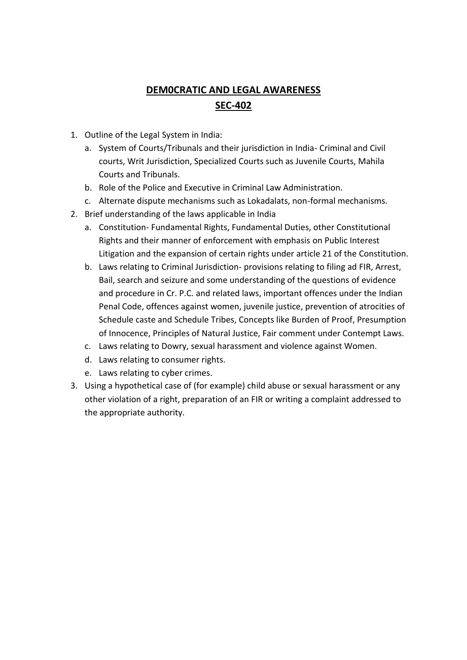## **DEM0CRATIC AND LEGAL AWARENESS SEC-402**

- 1. Outline of the Legal System in India:
	- a. System of Courts/Tribunals and their jurisdiction in India- Criminal and Civil courts, Writ Jurisdiction, Specialized Courts such as Juvenile Courts, Mahila Courts and Tribunals.
	- b. Role of the Police and Executive in Criminal Law Administration.
	- c. Alternate dispute mechanisms such as Lokadalats, non-formal mechanisms.
- 2. Brief understanding of the laws applicable in India
	- a. Constitution- Fundamental Rights, Fundamental Duties, other Constitutional Rights and their manner of enforcement with emphasis on Public Interest Litigation and the expansion of certain rights under article 21 of the Constitution.
	- b. Laws relating to Criminal Jurisdiction- provisions relating to filing ad FIR, Arrest, Bail, search and seizure and some understanding of the questions of evidence and procedure in Cr. P.C. and related laws, important offences under the Indian Penal Code, offences against women, juvenile justice, prevention of atrocities of Schedule caste and Schedule Tribes, Concepts like Burden of Proof, Presumption of Innocence, Principles of Natural Justice, Fair comment under Contempt Laws.
	- c. Laws relating to Dowry, sexual harassment and violence against Women.
	- d. Laws relating to consumer rights.
	- e. Laws relating to cyber crimes.
- 3. Using a hypothetical case of (for example) child abuse or sexual harassment or any other violation of a right, preparation of an FIR or writing a complaint addressed to the appropriate authority.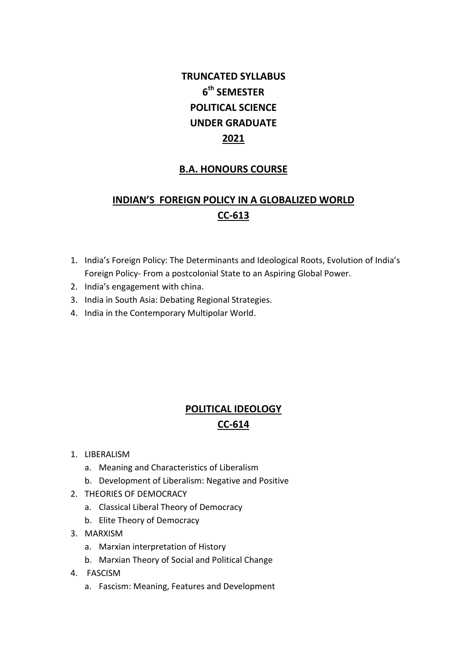# **TRUNCATED SYLLABUS 6 th SEMESTER POLITICAL SCIENCE UNDER GRADUATE 2021**

#### **B.A. HONOURS COURSE**

# **INDIAN'S FOREIGN POLICY IN A GLOBALIZED WORLD CC-613**

- 1. India's Foreign Policy: The Determinants and Ideological Roots, Evolution of India's Foreign Policy- From a postcolonial State to an Aspiring Global Power.
- 2. India's engagement with china.
- 3. India in South Asia: Debating Regional Strategies.
- 4. India in the Contemporary Multipolar World.

### **POLITICAL IDEOLOGY CC-614**

- 1. LIBERALISM
	- a. Meaning and Characteristics of Liberalism
	- b. Development of Liberalism: Negative and Positive
- 2. THEORIES OF DEMOCRACY
	- a. Classical Liberal Theory of Democracy
	- b. Elite Theory of Democracy
- 3. MARXISM
	- a. Marxian interpretation of History
	- b. Marxian Theory of Social and Political Change
- 4. FASCISM
	- a. Fascism: Meaning, Features and Development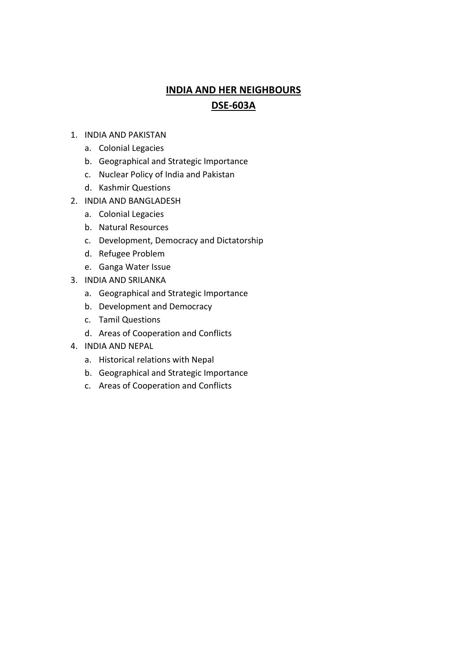## **INDIA AND HER NEIGHBOURS DSE-603A**

- 1. INDIA AND PAKISTAN
	- a. Colonial Legacies
	- b. Geographical and Strategic Importance
	- c. Nuclear Policy of India and Pakistan
	- d. Kashmir Questions
- 2. INDIA AND BANGLADESH
	- a. Colonial Legacies
	- b. Natural Resources
	- c. Development, Democracy and Dictatorship
	- d. Refugee Problem
	- e. Ganga Water Issue
- 3. INDIA AND SRILANKA
	- a. Geographical and Strategic Importance
	- b. Development and Democracy
	- c. Tamil Questions
	- d. Areas of Cooperation and Conflicts
- 4. INDIA AND NEPAL
	- a. Historical relations with Nepal
	- b. Geographical and Strategic Importance
	- c. Areas of Cooperation and Conflicts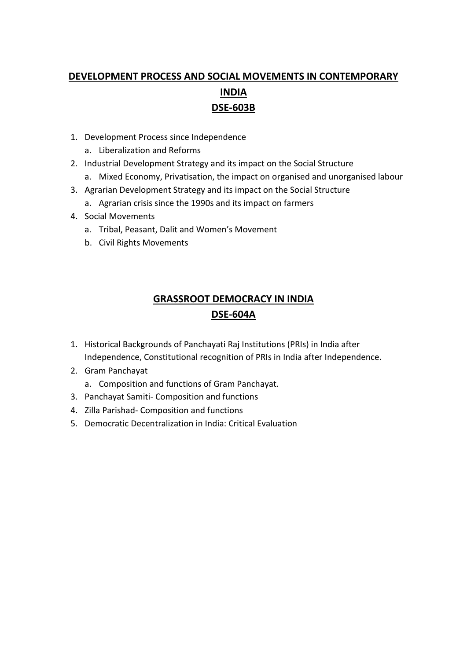# **DEVELOPMENT PROCESS AND SOCIAL MOVEMENTS IN CONTEMPORARY INDIA DSE-603B**

- 1. Development Process since Independence
	- a. Liberalization and Reforms
- 2. Industrial Development Strategy and its impact on the Social Structure
	- a. Mixed Economy, Privatisation, the impact on organised and unorganised labour
- 3. Agrarian Development Strategy and its impact on the Social Structure a. Agrarian crisis since the 1990s and its impact on farmers
- 4. Social Movements
	- a. Tribal, Peasant, Dalit and Women's Movement
	- b. Civil Rights Movements

### **GRASSROOT DEMOCRACY IN INDIA DSE-604A**

- 1. Historical Backgrounds of Panchayati Raj Institutions (PRIs) in India after Independence, Constitutional recognition of PRIs in India after Independence.
- 2. Gram Panchayat
	- a. Composition and functions of Gram Panchayat.
- 3. Panchayat Samiti- Composition and functions
- 4. Zilla Parishad- Composition and functions
- 5. Democratic Decentralization in India: Critical Evaluation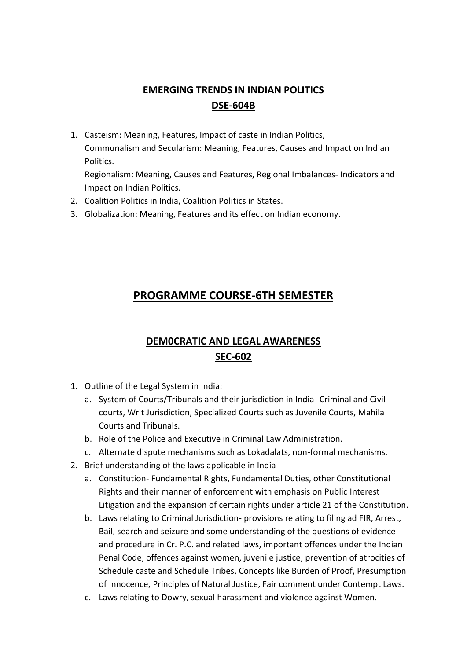## **EMERGING TRENDS IN INDIAN POLITICS DSE-604B**

1. Casteism: Meaning, Features, Impact of caste in Indian Politics, Communalism and Secularism: Meaning, Features, Causes and Impact on Indian Politics.

Regionalism: Meaning, Causes and Features, Regional Imbalances- Indicators and Impact on Indian Politics.

- 2. Coalition Politics in India, Coalition Politics in States.
- 3. Globalization: Meaning, Features and its effect on Indian economy.

## **PROGRAMME COURSE-6TH SEMESTER**

### **DEM0CRATIC AND LEGAL AWARENESS SEC-602**

- 1. Outline of the Legal System in India:
	- a. System of Courts/Tribunals and their jurisdiction in India- Criminal and Civil courts, Writ Jurisdiction, Specialized Courts such as Juvenile Courts, Mahila Courts and Tribunals.
	- b. Role of the Police and Executive in Criminal Law Administration.
	- c. Alternate dispute mechanisms such as Lokadalats, non-formal mechanisms.
- 2. Brief understanding of the laws applicable in India
	- a. Constitution- Fundamental Rights, Fundamental Duties, other Constitutional Rights and their manner of enforcement with emphasis on Public Interest Litigation and the expansion of certain rights under article 21 of the Constitution.
	- b. Laws relating to Criminal Jurisdiction- provisions relating to filing ad FIR, Arrest, Bail, search and seizure and some understanding of the questions of evidence and procedure in Cr. P.C. and related laws, important offences under the Indian Penal Code, offences against women, juvenile justice, prevention of atrocities of Schedule caste and Schedule Tribes, Concepts like Burden of Proof, Presumption of Innocence, Principles of Natural Justice, Fair comment under Contempt Laws.
	- c. Laws relating to Dowry, sexual harassment and violence against Women.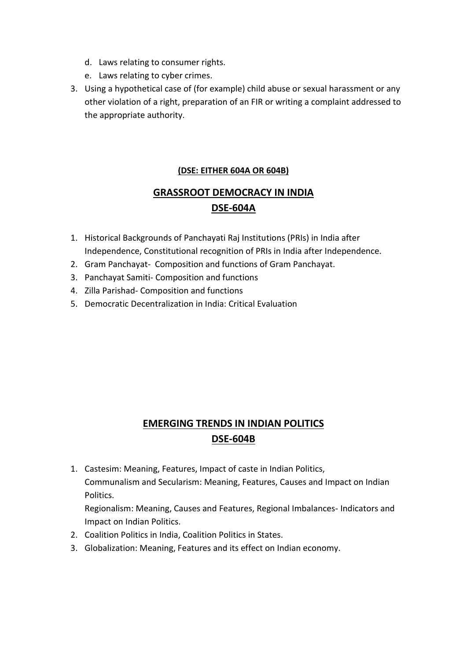- d. Laws relating to consumer rights.
- e. Laws relating to cyber crimes.
- 3. Using a hypothetical case of (for example) child abuse or sexual harassment or any other violation of a right, preparation of an FIR or writing a complaint addressed to the appropriate authority.

#### **(DSE: EITHER 604A OR 604B)**

## **GRASSROOT DEMOCRACY IN INDIA DSE-604A**

- 1. Historical Backgrounds of Panchayati Raj Institutions (PRIs) in India after Independence, Constitutional recognition of PRIs in India after Independence.
- 2. Gram Panchayat- Composition and functions of Gram Panchayat.
- 3. Panchayat Samiti- Composition and functions
- 4. Zilla Parishad- Composition and functions
- 5. Democratic Decentralization in India: Critical Evaluation

### **EMERGING TRENDS IN INDIAN POLITICS DSE-604B**

1. Castesim: Meaning, Features, Impact of caste in Indian Politics, Communalism and Secularism: Meaning, Features, Causes and Impact on Indian Politics.

Regionalism: Meaning, Causes and Features, Regional Imbalances- Indicators and Impact on Indian Politics.

- 2. Coalition Politics in India, Coalition Politics in States.
- 3. Globalization: Meaning, Features and its effect on Indian economy.